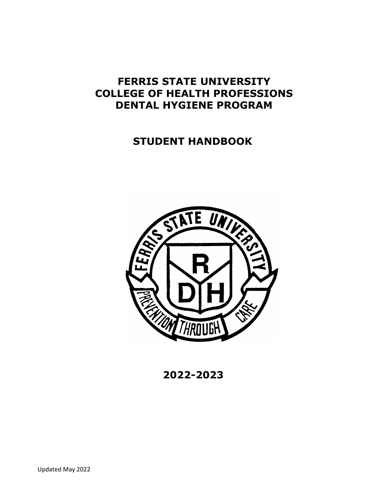# **FERRIS STATE UNIVERSITY COLLEGE OF HEALTH PROFESSIONS DENTAL HYGIENE PROGRAM**

# **STUDENT HANDBOOK**



**2022-2023**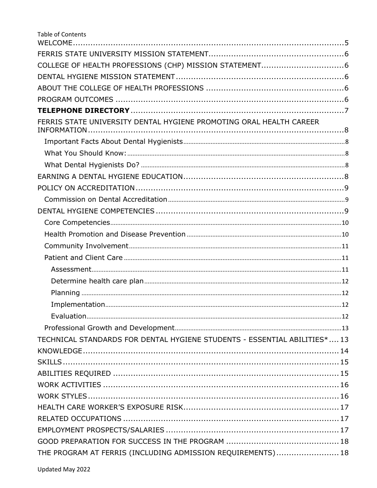| <b>Table of Contents</b>                                                  |  |
|---------------------------------------------------------------------------|--|
|                                                                           |  |
|                                                                           |  |
|                                                                           |  |
|                                                                           |  |
|                                                                           |  |
|                                                                           |  |
| FERRIS STATE UNIVERSITY DENTAL HYGIENE PROMOTING ORAL HEALTH CAREER       |  |
|                                                                           |  |
|                                                                           |  |
|                                                                           |  |
|                                                                           |  |
|                                                                           |  |
|                                                                           |  |
|                                                                           |  |
|                                                                           |  |
|                                                                           |  |
|                                                                           |  |
|                                                                           |  |
|                                                                           |  |
|                                                                           |  |
|                                                                           |  |
|                                                                           |  |
|                                                                           |  |
|                                                                           |  |
| TECHNICAL STANDARDS FOR DENTAL HYGIENE STUDENTS - ESSENTIAL ABILITIES* 13 |  |
|                                                                           |  |
|                                                                           |  |
|                                                                           |  |
|                                                                           |  |
|                                                                           |  |
|                                                                           |  |
|                                                                           |  |
|                                                                           |  |
|                                                                           |  |
| THE PROGRAM AT FERRIS (INCLUDING ADMISSION REQUIREMENTS) 18               |  |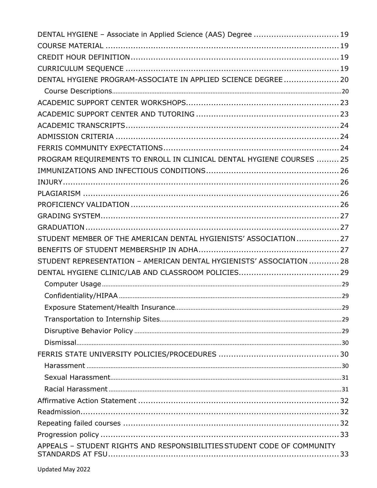| DENTAL HYGIENE - Associate in Applied Science (AAS) Degree  19          |  |
|-------------------------------------------------------------------------|--|
|                                                                         |  |
|                                                                         |  |
|                                                                         |  |
| DENTAL HYGIENE PROGRAM-ASSOCIATE IN APPLIED SCIENCE DEGREE  20          |  |
|                                                                         |  |
|                                                                         |  |
|                                                                         |  |
|                                                                         |  |
|                                                                         |  |
|                                                                         |  |
| PROGRAM REQUIREMENTS TO ENROLL IN CLINICAL DENTAL HYGIENE COURSES  25   |  |
|                                                                         |  |
|                                                                         |  |
|                                                                         |  |
|                                                                         |  |
|                                                                         |  |
|                                                                         |  |
| STUDENT MEMBER OF THE AMERICAN DENTAL HYGIENISTS' ASSOCIATION  27       |  |
|                                                                         |  |
| STUDENT REPRESENTATION - AMERICAN DENTAL HYGIENISTS' ASSOCIATION  28    |  |
|                                                                         |  |
|                                                                         |  |
|                                                                         |  |
|                                                                         |  |
|                                                                         |  |
|                                                                         |  |
|                                                                         |  |
|                                                                         |  |
|                                                                         |  |
|                                                                         |  |
|                                                                         |  |
|                                                                         |  |
|                                                                         |  |
|                                                                         |  |
|                                                                         |  |
| APPEALS - STUDENT RIGHTS AND RESPONSIBILITIES STUDENT CODE OF COMMUNITY |  |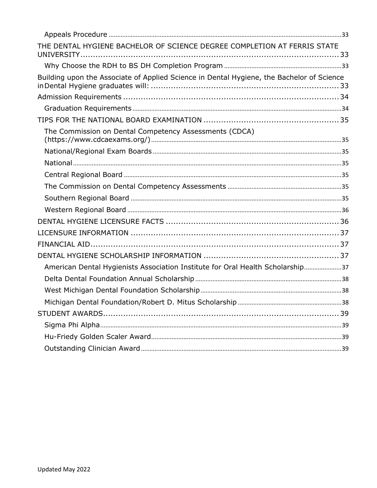| THE DENTAL HYGIENE BACHELOR OF SCIENCE DEGREE COMPLETION AT FERRIS STATE                  |  |
|-------------------------------------------------------------------------------------------|--|
|                                                                                           |  |
| Building upon the Associate of Applied Science in Dental Hygiene, the Bachelor of Science |  |
|                                                                                           |  |
|                                                                                           |  |
|                                                                                           |  |
| The Commission on Dental Competency Assessments (CDCA)                                    |  |
|                                                                                           |  |
|                                                                                           |  |
|                                                                                           |  |
|                                                                                           |  |
|                                                                                           |  |
|                                                                                           |  |
|                                                                                           |  |
|                                                                                           |  |
|                                                                                           |  |
|                                                                                           |  |
| American Dental Hygienists Association Institute for Oral Health Scholarship37            |  |
|                                                                                           |  |
|                                                                                           |  |
|                                                                                           |  |
|                                                                                           |  |
|                                                                                           |  |
|                                                                                           |  |
|                                                                                           |  |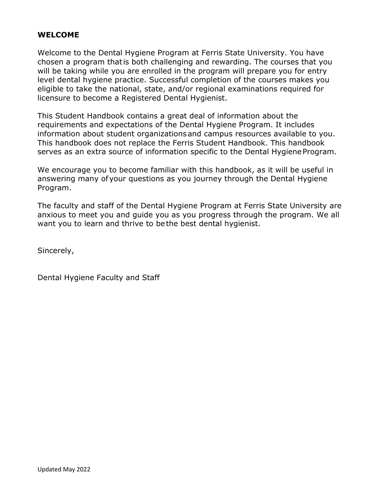#### <span id="page-4-0"></span>**WELCOME**

Welcome to the Dental Hygiene Program at Ferris State University. You have chosen a program thatis both challenging and rewarding. The courses that you will be taking while you are enrolled in the program will prepare you for entry level dental hygiene practice. Successful completion of the courses makes you eligible to take the national, state, and/or regional examinations required for licensure to become a Registered Dental Hygienist.

This Student Handbook contains a great deal of information about the requirements and expectations of the Dental Hygiene Program. It includes information about student organizationsand campus resources available to you. This handbook does not replace the Ferris Student Handbook. This handbook serves as an extra source of information specific to the Dental Hygiene Program.

We encourage you to become familiar with this handbook, as it will be useful in answering many ofyour questions as you journey through the Dental Hygiene Program.

The faculty and staff of the Dental Hygiene Program at Ferris State University are anxious to meet you and guide you as you progress through the program. We all want you to learn and thrive to bethe best dental hygienist.

Sincerely,

Dental Hygiene Faculty and Staff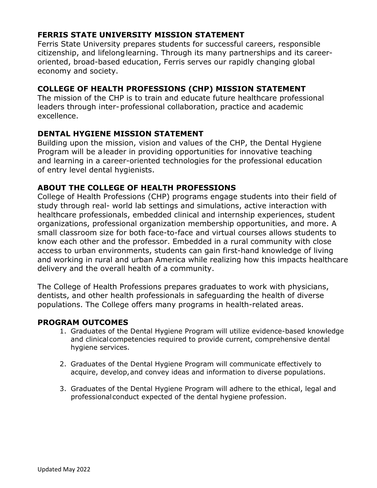### <span id="page-5-0"></span>**FERRIS STATE UNIVERSITY MISSION STATEMENT**

Ferris State University prepares students for successful careers, responsible citizenship, and lifelonglearning. Through its many partnerships and its careeroriented, broad-based education, Ferris serves our rapidly changing global economy and society.

### <span id="page-5-1"></span>**COLLEGE OF HEALTH PROFESSIONS (CHP) MISSION STATEMENT**

The mission of the CHP is to train and educate future healthcare professional leaders through inter-professional collaboration, practice and academic excellence.

### <span id="page-5-2"></span>**DENTAL HYGIENE MISSION STATEMENT**

Building upon the mission, vision and values of the CHP, the Dental Hygiene Program will be aleader in providing opportunities for innovative teaching and learning in a career-oriented technologies for the professional education of entry level dental hygienists.

#### <span id="page-5-3"></span>**ABOUT THE COLLEGE OF HEALTH PROFESSIONS**

College of Health Professions (CHP) programs engage students into their field of study through real- world lab settings and simulations, active interaction with healthcare professionals, embedded clinical and internship experiences, student organizations, professional organization membership opportunities, and more. A small classroom size for both face-to-face and virtual courses allows students to know each other and the professor. Embedded in a rural community with close access to urban environments, students can gain first-hand knowledge of living and working in rural and urban America while realizing how this impacts healthcare delivery and the overall health of a community.

The College of Health Professions prepares graduates to work with physicians, dentists, and other health professionals in safeguarding the health of diverse populations. The College offers many programs in health-related areas.

### <span id="page-5-4"></span>**PROGRAM OUTCOMES**

- 1. Graduates of the Dental Hygiene Program will utilize evidence-based knowledge and clinicalcompetencies required to provide current, comprehensive dental hygiene services.
- 2. Graduates of the Dental Hygiene Program will communicate effectively to acquire, develop,and convey ideas and information to diverse populations.
- 3. Graduates of the Dental Hygiene Program will adhere to the ethical, legal and professionalconduct expected of the dental hygiene profession.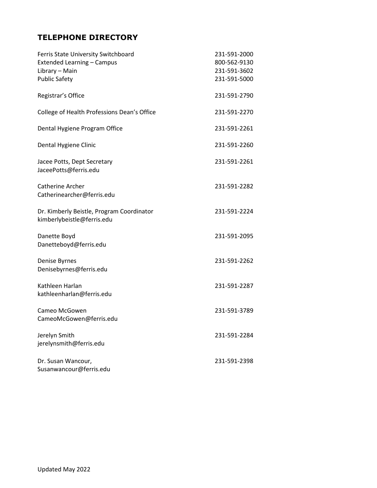### <span id="page-6-0"></span>**TELEPHONE DIRECTORY**

| Ferris State University Switchboard<br><b>Extended Learning - Campus</b><br>Library - Main<br><b>Public Safety</b> | 231-591-2000<br>800-562-9130<br>231-591-3602<br>231-591-5000 |
|--------------------------------------------------------------------------------------------------------------------|--------------------------------------------------------------|
| Registrar's Office                                                                                                 | 231-591-2790                                                 |
| College of Health Professions Dean's Office                                                                        | 231-591-2270                                                 |
| Dental Hygiene Program Office                                                                                      | 231-591-2261                                                 |
| Dental Hygiene Clinic                                                                                              | 231-591-2260                                                 |
| Jacee Potts, Dept Secretary<br>JaceePotts@ferris.edu                                                               | 231-591-2261                                                 |
| <b>Catherine Archer</b><br>Catherinearcher@ferris.edu                                                              | 231-591-2282                                                 |
| Dr. Kimberly Beistle, Program Coordinator<br>kimberlybeistle@ferris.edu                                            | 231-591-2224                                                 |
| Danette Boyd<br>Danetteboyd@ferris.edu                                                                             | 231-591-2095                                                 |
| Denise Byrnes<br>Denisebyrnes@ferris.edu                                                                           | 231-591-2262                                                 |
| Kathleen Harlan<br>kathleenharlan@ferris.edu                                                                       | 231-591-2287                                                 |
| Cameo McGowen<br>CameoMcGowen@ferris.edu                                                                           | 231-591-3789                                                 |
| Jerelyn Smith<br>jerelynsmith@ferris.edu                                                                           | 231-591-2284                                                 |
| Dr. Susan Wancour,<br>Susanwancour@ferris.edu                                                                      | 231-591-2398                                                 |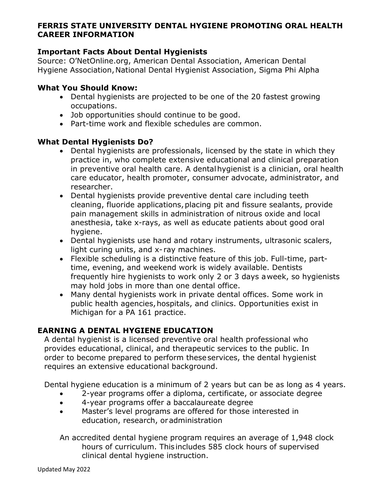### <span id="page-7-0"></span>**FERRIS STATE UNIVERSITY DENTAL HYGIENE PROMOTING ORAL HEALTH CAREER INFORMATION**

#### <span id="page-7-1"></span>**Important Facts About Dental Hygienists**

Source: O'NetOnline.org, American Dental Association, American Dental Hygiene Association,National Dental Hygienist Association, Sigma Phi Alpha

#### <span id="page-7-2"></span>**What You Should Know:**

- Dental hygienists are projected to be one of the 20 fastest growing occupations.
- Job opportunities should continue to be good.
- Part-time work and flexible schedules are common.

#### <span id="page-7-3"></span>**What Dental Hygienists Do?**

- Dental hygienists are professionals, licensed by the state in which they practice in, who complete extensive educational and clinical preparation in preventive oral health care. A dentalhygienist is a clinician, oral health care educator, health promoter, consumer advocate, administrator, and researcher.
- Dental hygienists provide preventive dental care including teeth cleaning, fluoride applications,placing pit and fissure sealants, provide pain management skills in administration of nitrous oxide and local anesthesia, take x-rays, as well as educate patients about good oral hygiene.
- Dental hygienists use hand and rotary instruments, ultrasonic scalers, light curing units, and x- ray machines.
- Flexible scheduling is a distinctive feature of this job. Full-time, parttime, evening, and weekend work is widely available. Dentists frequently hire hygienists to work only 2 or 3 days aweek, so hygienists may hold jobs in more than one dental office.
- Many dental hygienists work in private dental offices. Some work in public health agencies, hospitals, and clinics. Opportunities exist in Michigan for a PA 161 practice.

### <span id="page-7-4"></span>**EARNING A DENTAL HYGIENE EDUCATION**

A dental hygienist is a licensed preventive oral health professional who provides educational, clinical, and therapeutic services to the public. In order to become prepared to perform theseservices, the dental hygienist requires an extensive educational background.

Dental hygiene education is a minimum of 2 years but can be as long as 4 years.

- 2-year programs offer a diploma, certificate, or associate degree
- 4-year programs offer a baccalaureate degree
- Master's level programs are offered for those interested in education, research, oradministration

An accredited dental hygiene program requires an average of 1,948 clock hours of curriculum. This includes 585 clock hours of supervised clinical dental hygiene instruction.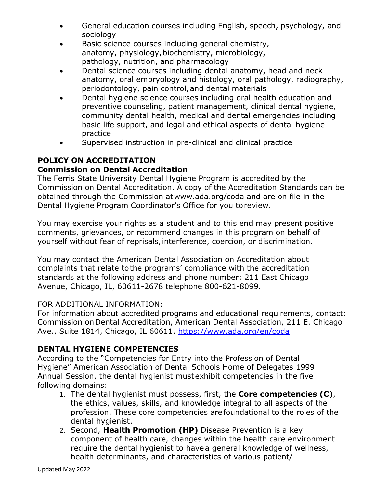- General education courses including English, speech, psychology, and sociology
- Basic science courses including general chemistry, anatomy, physiology,biochemistry, microbiology, pathology, nutrition, and pharmacology
- Dental science courses including dental anatomy, head and neck anatomy, oral embryology and histology, oral pathology, radiography, periodontology, pain control,and dental materials
- Dental hygiene science courses including oral health education and preventive counseling, patient management, clinical dental hygiene, community dental health, medical and dental emergencies including basic life support, and legal and ethical aspects of dental hygiene practice
- Supervised instruction in pre-clinical and clinical practice

### <span id="page-8-0"></span>**POLICY ON ACCREDITATION Commission on Dental Accreditation**

<span id="page-8-1"></span>The Ferris State University Dental Hygiene Program is accredited by the Commission on Dental Accreditation. A copy of the Accreditation Standards can be obtained through the Commission a[twww.ada.org/coda](http://www.ada.org/coda) and are on file in the Dental Hygiene Program Coordinator's Office for you toreview.

You may exercise your rights as a student and to this end may present positive comments, grievances, or recommend changes in this program on behalf of yourself without fear of reprisals, interference, coercion, or discrimination.

You may contact the American Dental Association on Accreditation about complaints that relate tothe programs' compliance with the accreditation standards at the following address and phone number: 211 East Chicago Avenue, Chicago, IL, 60611-2678 telephone 800-621-8099.

# FOR ADDITIONAL INFORMATION:

For information about accredited programs and educational requirements, contact: Commission onDental Accreditation, American Dental Association, 211 E. Chicago Ave., Suite 1814, Chicago, IL 60611. <https://www.ada.org/en/coda>

# <span id="page-8-2"></span>**DENTAL HYGIENE COMPETENCIES**

According to the "Competencies for Entry into the Profession of Dental Hygiene" American Association of Dental Schools Home of Delegates 1999 Annual Session, the dental hygienist mustexhibit competencies in the five following domains:

- 1. The dental hygienist must possess, first, the **Core competencies (C)**, the ethics, values, skills, and knowledge integral to all aspects of the profession. These core competencies arefoundational to the roles of the dental hygienist.
- 2. Second, **Health Promotion (HP)** Disease Prevention is a key component of health care, changes within the health care environment require the dental hygienist to have a general knowledge of wellness, health determinants, and characteristics of various patient/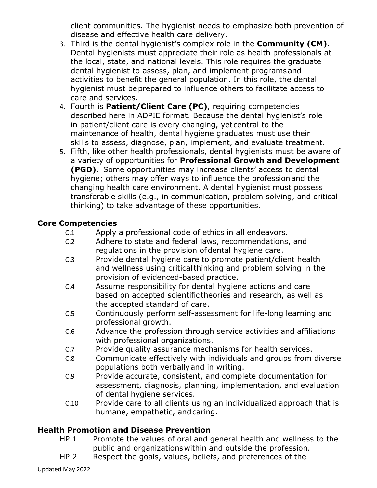client communities. The hygienist needs to emphasize both prevention of disease and effective health care delivery.

- 3. Third is the dental hygienist's complex role in the **Community (CM)**. Dental hygienists must appreciate their role as health professionals at the local, state, and national levels. This role requires the graduate dental hygienist to assess, plan, and implement programsand activities to benefit the general population. In this role, the dental hygienist must beprepared to influence others to facilitate access to care and services.
- 4. Fourth is **Patient/Client Care (PC)**, requiring competencies described here in ADPIE format. Because the dental hygienist's role in patient/client care is every changing, yetcentral to the maintenance of health, dental hygiene graduates must use their skills to assess, diagnose, plan, implement, and evaluate treatment.
- 5. Fifth, like other health professionals, dental hygienists must be aware of a variety of opportunities for **Professional Growth and Development (PGD)**. Some opportunities may increase clients' access to dental hygiene; others may offer ways to influence the professionand the changing health care environment. A dental hygienist must possess transferable skills (e.g., in communication, problem solving, and critical thinking) to take advantage of these opportunities.

#### <span id="page-9-0"></span>**Core Competencies**

- C.1 Apply a professional code of ethics in all endeavors.
- C.2 Adhere to state and federal laws, recommendations, and regulations in the provision ofdental hygiene care.
- C.3 Provide dental hygiene care to promote patient/client health and wellness using criticalthinking and problem solving in the provision of evidenced-based practice.
- C.4 Assume responsibility for dental hygiene actions and care based on accepted scientific theories and research, as well as the accepted standard of care.
- C.5 Continuously perform self-assessment for life-long learning and professional growth.
- C.6 Advance the profession through service activities and affiliations with professional organizations.
- C.7 Provide quality assurance mechanisms for health services.
- C.8 Communicate effectively with individuals and groups from diverse populations both verballyand in writing.
- C.9 Provide accurate, consistent, and complete documentation for assessment, diagnosis, planning, implementation, and evaluation of dental hygiene services.
- C.10 Provide care to all clients using an individualized approach that is humane, empathetic, andcaring.

### <span id="page-9-1"></span>**Health Promotion and Disease Prevention**

- HP.1 Promote the values of oral and general health and wellness to the public and organizationswithin and outside the profession.
- HP.2 Respect the goals, values, beliefs, and preferences of the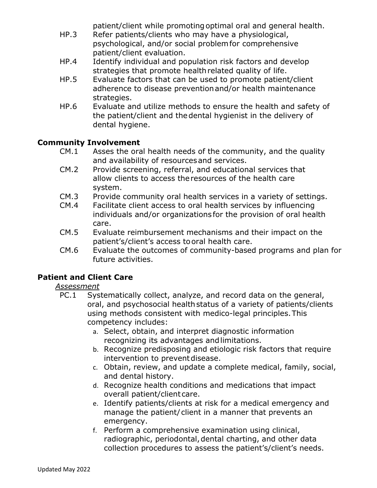patient/client while promotingoptimal oral and general health.

- HP.3 Refer patients/clients who may have a physiological, psychological, and/or social problemfor comprehensive patient/client evaluation.
- HP.4 Identify individual and population risk factors and develop strategies that promote healthrelated quality of life.
- HP.5 Evaluate factors that can be used to promote patient/client adherence to disease preventionand/or health maintenance strategies.
- HP.6 Evaluate and utilize methods to ensure the health and safety of the patient/client and thedental hygienist in the delivery of dental hygiene.

### <span id="page-10-0"></span>**Community Involvement**

- CM.1 Asses the oral health needs of the community, and the quality and availability of resourcesand services.
- CM.2 Provide screening, referral, and educational services that allow clients to access theresources of the health care system.
- CM.3 Provide community oral health services in a variety of settings.
- CM.4 Facilitate client access to oral health services by influencing individuals and/or organizations for the provision of oral health care.
- CM.5 Evaluate reimbursement mechanisms and their impact on the patient's/client's access tooral health care.
- CM.6 Evaluate the outcomes of community-based programs and plan for future activities.

### <span id="page-10-2"></span><span id="page-10-1"></span>**Patient and Client Care**

### *Assessment*

- PC.1 Systematically collect, analyze, and record data on the general, oral, and psychosocial healthstatus of a variety of patients/clients using methods consistent with medico-legal principles.This competency includes:
	- a. Select, obtain, and interpret diagnostic information recognizing its advantages andlimitations.
	- b. Recognize predisposing and etiologic risk factors that require intervention to preventdisease.
	- c. Obtain, review, and update a complete medical, family, social, and dental history.
	- d. Recognize health conditions and medications that impact overall patient/clientcare.
	- e. Identify patients/clients at risk for a medical emergency and manage the patient/client in a manner that prevents an emergency.
	- f. Perform a comprehensive examination using clinical, radiographic, periodontal, dental charting, and other data collection procedures to assess the patient's/client's needs.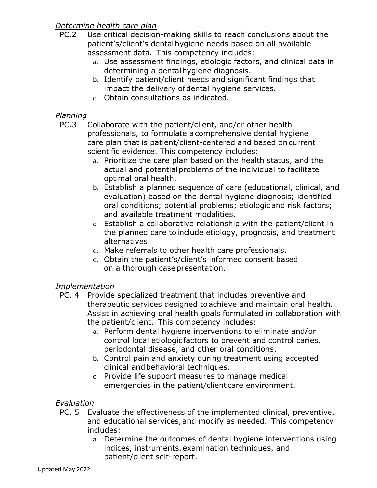### <span id="page-11-0"></span>*Determine health care plan*

- PC.2 Use critical decision-making skills to reach conclusions about the patient's/client's dentalhygiene needs based on all available assessment data. This competency includes:
	- a. Use assessment findings, etiologic factors, and clinical data in determining a dentalhygiene diagnosis.
	- b. Identify patient/client needs and significant findings that impact the delivery ofdental hygiene services.
	- c. Obtain consultations as indicated.

#### <span id="page-11-1"></span>*Planning*

- PC.3 Collaborate with the patient/client, and/or other health professionals, to formulate acomprehensive dental hygiene care plan that is patient/client-centered and based oncurrent scientific evidence. This competency includes:
	- a. Prioritize the care plan based on the health status, and the actual and potential problems of the individual to facilitate optimal oral health.
	- b. Establish a planned sequence of care (educational, clinical, and evaluation) based on the dental hygiene diagnosis; identified oral conditions; potential problems; etiologicand risk factors; and available treatment modalities.
	- c. Establish a collaborative relationship with the patient/client in the planned care toinclude etiology, prognosis, and treatment alternatives.
	- d. Make referrals to other health care professionals.
	- e. Obtain the patient's/client's informed consent based on a thorough casepresentation.

### <span id="page-11-2"></span>*Implementation*

- PC. 4 Provide specialized treatment that includes preventive and therapeutic services designed toachieve and maintain oral health. Assist in achieving oral health goals formulated in collaboration with the patient/client. This competency includes:
	- a. Perform dental hygiene interventions to eliminate and/or control local etiologicfactors to prevent and control caries, periodontal disease, and other oral conditions.
	- b. Control pain and anxiety during treatment using accepted clinical andbehavioral techniques.
	- c. Provide life support measures to manage medical emergencies in the patient/clientcare environment.

### <span id="page-11-3"></span>*Evaluation*

- PC. 5 Evaluate the effectiveness of the implemented clinical, preventive, and educational services, and modify as needed. This competency includes:
	- a. Determine the outcomes of dental hygiene interventions using indices, instruments,examination techniques, and patient/client self-report.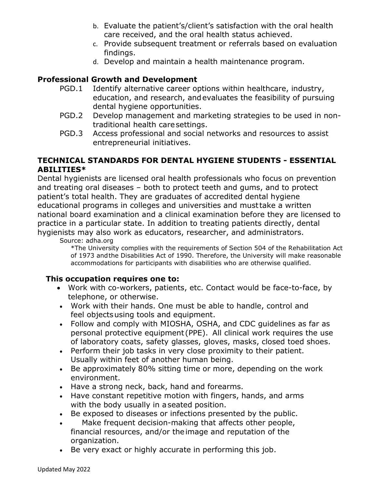- b. Evaluate the patient's/client's satisfaction with the oral health care received, and the oral health status achieved.
- c. Provide subsequent treatment or referrals based on evaluation findings.
- d. Develop and maintain a health maintenance program.

### <span id="page-12-0"></span>**Professional Growth and Development**

- PGD.1 Identify alternative career options within healthcare, industry, education, and research, andevaluates the feasibility of pursuing dental hygiene opportunities.
- PGD.2 Develop management and marketing strategies to be used in nontraditional health caresettings.
- PGD.3 Access professional and social networks and resources to assist entrepreneurial initiatives.

### <span id="page-12-1"></span>**TECHNICAL STANDARDS FOR DENTAL HYGIENE STUDENTS - ESSENTIAL ABILITIES\***

Dental hygienists are licensed oral health professionals who focus on prevention and treating oral diseases – both to protect teeth and gums, and to protect patient's total health. They are graduates of accredited dental hygiene educational programs in colleges and universities and musttake a written national board examination and a clinical examination before they are licensed to practice in a particular state. In addition to treating patients directly, dental hygienists may also work as educators, researcher, and administrators.

Source: adha.org

\*The University complies with the requirements of Section 504 of the Rehabilitation Act of 1973 andthe Disabilities Act of 1990. Therefore, the University will make reasonable accommodations for participants with disabilities who are otherwise qualified.

### **This occupation requires one to:**

- Work with co-workers, patients, etc. Contact would be face-to-face, by telephone, or otherwise.
- Work with their hands. One must be able to handle, control and feel objectsusing tools and equipment.
- Follow and comply with MIOSHA, OSHA, and CDC guidelines as far as personal protective equipment (PPE). All clinical work requires the use of laboratory coats, safety glasses, gloves, masks, closed toed shoes.
- Perform their job tasks in very close proximity to their patient. Usually within feet of another human being.
- Be approximately 80% sitting time or more, depending on the work environment.
- Have a strong neck, back, hand and forearms.
- Have constant repetitive motion with fingers, hands, and arms with the body usually in aseated position.
- Be exposed to diseases or infections presented by the public.
- Make frequent decision-making that affects other people, financial resources, and/or theimage and reputation of the organization.
- Be very exact or highly accurate in performing this job.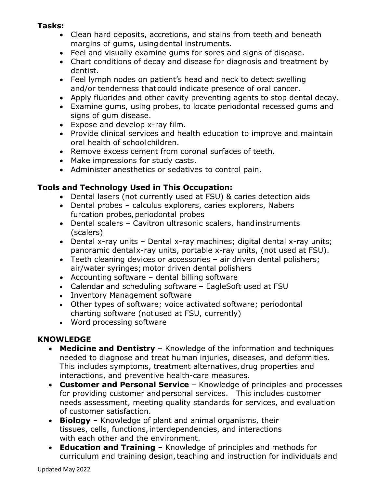#### **Tasks:**

- Clean hard deposits, accretions, and stains from teeth and beneath margins of gums, usingdental instruments.
- Feel and visually examine gums for sores and signs of disease.
- Chart conditions of decay and disease for diagnosis and treatment by dentist.
- Feel lymph nodes on patient's head and neck to detect swelling and/or tenderness that could indicate presence of oral cancer.
- Apply fluorides and other cavity preventing agents to stop dental decay.
- Examine gums, using probes, to locate periodontal recessed gums and signs of gum disease.
- Expose and develop x-ray film.
- Provide clinical services and health education to improve and maintain oral health of school children.
- Remove excess cement from coronal surfaces of teeth.
- Make impressions for study casts.
- Administer anesthetics or sedatives to control pain.

### **Tools and Technology Used in This Occupation:**

- Dental lasers (not currently used at FSU) & caries detection aids
- Dental probes calculus explorers, caries explorers, Nabers furcation probes, periodontal probes
- Dental scalers Cavitron ultrasonic scalers, handinstruments (scalers)
- Dental x-ray units Dental x-ray machines; digital dental x-ray units; panoramic dentalx-ray units, portable x-ray units, (not used at FSU).
- Teeth cleaning devices or accessories air driven dental polishers; air/water syringes;motor driven dental polishers
- Accounting software dental billing software
- Calendar and scheduling software EagleSoft used at FSU
- Inventory Management software
- Other types of software; voice activated software; periodontal charting software (notused at FSU, currently)
- Word processing software

### <span id="page-13-0"></span>**KNOWLEDGE**

- **Medicine and Dentistry** Knowledge of the information and techniques needed to diagnose and treat human injuries, diseases, and deformities. This includes symptoms, treatment alternatives,drug properties and interactions, and preventive health-care measures.
- **Customer and Personal Service** Knowledge of principles and processes for providing customer andpersonal services. This includes customer needs assessment, meeting quality standards for services, and evaluation of customer satisfaction.
- **Biology** Knowledge of plant and animal organisms, their tissues, cells, functions,interdependencies, and interactions with each other and the environment.
- **Education and Training** Knowledge of principles and methods for curriculum and training design,teaching and instruction for individuals and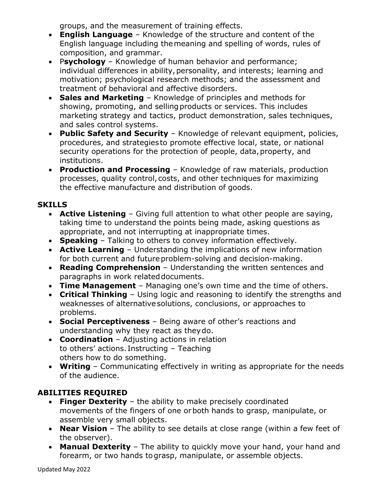groups, and the measurement of training effects.

- **English Language** Knowledge of the structure and content of the English language including themeaning and spelling of words, rules of composition, and grammar.
- P**sychology** Knowledge of human behavior and performance; individual differences in ability, personality, and interests; learning and motivation; psychological research methods; and the assessment and treatment of behavioral and affective disorders.
- **Sales and Marketing** Knowledge of principles and methods for showing, promoting, and selling products or services. This includes marketing strategy and tactics, product demonstration, sales techniques, and sales control systems.
- **Public Safety and Security** Knowledge of relevant equipment, policies, procedures, and strategiesto promote effective local, state, or national security operations for the protection of people, data, property, and institutions.
- **Production and Processing** Knowledge of raw materials, production processes, quality control,costs, and other techniques for maximizing the effective manufacture and distribution of goods.

### <span id="page-14-0"></span>**SKILLS**

- **Active Listening** Giving full attention to what other people are saying, taking time to understand the points being made, asking questions as appropriate, and not interrupting at inappropriate times.
- **Speaking** Talking to others to convey information effectively.
- **Active Learning** Understanding the implications of new information for both current and future problem-solving and decision-making.
- **Reading Comprehension** Understanding the written sentences and paragraphs in work related documents.
- **Time Management** Managing one's own time and the time of others.
- **Critical Thinking** Using logic and reasoning to identify the strengths and weaknesses of alternativesolutions, conclusions, or approaches to problems.
- **Social Perceptiveness** Being aware of other's reactions and understanding why they react as theydo.
- **Coordination** Adjusting actions in relation to others' actions. Instructing – Teaching others how to do something.
- **Writing** Communicating effectively in writing as appropriate for the needs of the audience.

# <span id="page-14-1"></span>**ABILITIES REQUIRED**

- **Finger Dexterity** the ability to make precisely coordinated movements of the fingers of one orboth hands to grasp, manipulate, or assemble very small objects.
- **Near Vision** The ability to see details at close range (within a few feet of the observer).
- **Manual Dexterity** The ability to quickly move your hand, your hand and forearm, or two hands tograsp, manipulate, or assemble objects.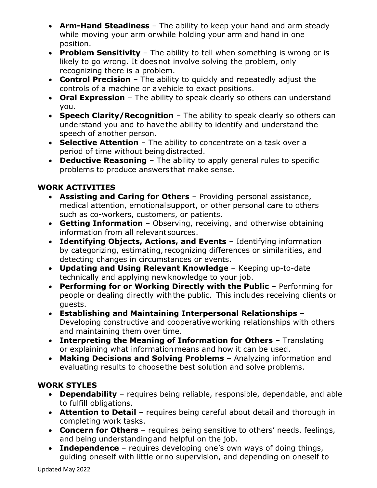- **Arm-Hand Steadiness** The ability to keep your hand and arm steady while moving your arm orwhile holding your arm and hand in one position.
- **Problem Sensitivity** The ability to tell when something is wrong or is likely to go wrong. It doesnot involve solving the problem, only recognizing there is a problem.
- **Control Precision** The ability to quickly and repeatedly adjust the controls of a machine or avehicle to exact positions.
- **Oral Expression** The ability to speak clearly so others can understand you.
- **Speech Clarity/Recognition** The ability to speak clearly so others can understand you and to havethe ability to identify and understand the speech of another person.
- **Selective Attention** The ability to concentrate on a task over a period of time without being distracted.
- **Deductive Reasoning** The ability to apply general rules to specific problems to produce answersthat make sense.

## <span id="page-15-0"></span>**WORK ACTIVITIES**

- **Assisting and Caring for Others** Providing personal assistance, medical attention, emotional support, or other personal care to others such as co-workers, customers, or patients.
- **Getting Information** Observing, receiving, and otherwise obtaining information from all relevantsources.
- **Identifying Objects, Actions, and Events** Identifying information by categorizing, estimating, recognizing differences or similarities, and detecting changes in circumstances or events.
- **Updating and Using Relevant Knowledge** Keeping up-to-date technically and applying newknowledge to your job.
- **Performing for or Working Directly with the Public** Performing for people or dealing directly withthe public. This includes receiving clients or guests.
- **Establishing and Maintaining Interpersonal Relationships** Developing constructive and cooperative working relationships with others and maintaining them over time.
- **Interpreting the Meaning of Information for Others** Translating or explaining what informationmeans and how it can be used.
- **Making Decisions and Solving Problems** Analyzing information and evaluating results to choosethe best solution and solve problems.

### <span id="page-15-1"></span>**WORK STYLES**

- **Dependability** requires being reliable, responsible, dependable, and able to fulfill obligations.
- **Attention to Detail** requires being careful about detail and thorough in completing work tasks.
- **Concern for Others** requires being sensitive to others' needs, feelings, and being understandingand helpful on the job.
- **Independence** requires developing one's own ways of doing things, guiding oneself with little orno supervision, and depending on oneself to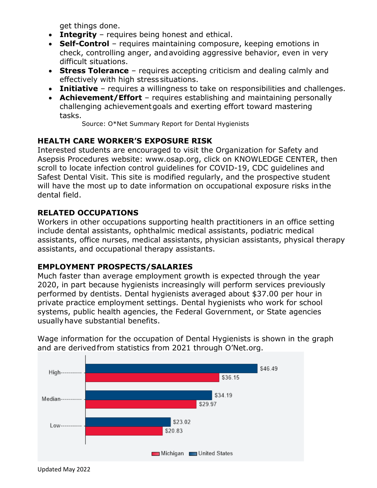get things done.

- **Integrity** requires being honest and ethical.
- **Self-Control** requires maintaining composure, keeping emotions in check, controlling anger, andavoiding aggressive behavior, even in very difficult situations.
- **Stress Tolerance** requires accepting criticism and dealing calmly and effectively with high stresssituations.
- **Initiative** requires a willingness to take on responsibilities and challenges.
- **Achievement/Effort** requires establishing and maintaining personally challenging achievementgoals and exerting effort toward mastering tasks.

Source: O\*Net Summary Report for Dental Hygienists

### <span id="page-16-0"></span>**HEALTH CARE WORKER'S EXPOSURE RISK**

Interested students are encouraged to visit the Organization for Safety and Asepsis Procedures website: www.osap.org, click on KNOWLEDGE CENTER, then scroll to locate infection control guidelines for COVID-19, CDC guidelines and Safest Dental Visit. This site is modified regularly, and the prospective student will have the most up to date information on occupational exposure risks inthe dental field.

#### <span id="page-16-1"></span>**RELATED OCCUPATIONS**

Workers in other occupations supporting health practitioners in an office setting include dental assistants, ophthalmic medical assistants, podiatric medical assistants, office nurses, medical assistants, physician assistants, physical therapy assistants, and occupational therapy assistants.

### <span id="page-16-2"></span>**EMPLOYMENT PROSPECTS/SALARIES**

Much faster than average employment growth is expected through the year 2020, in part because hygienists increasingly will perform services previously performed by dentists. Dental hygienists averaged about \$37.00 per hour in private practice employment settings. Dental hygienists who work for school systems, public health agencies, the Federal Government, or State agencies usuallyhave substantial benefits.





Updated May 2022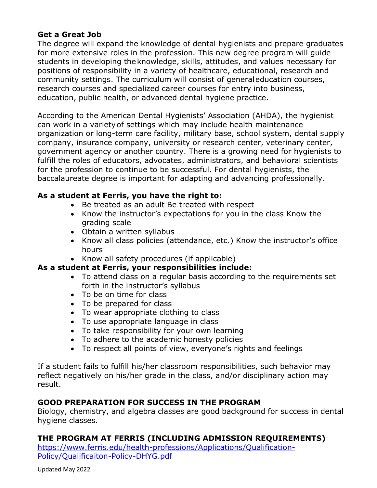### **Get a Great Job**

The degree will expand the knowledge of dental hygienists and prepare graduates for more extensive roles in the profession. This new degree program will guide students in developing theknowledge, skills, attitudes, and values necessary for positions of responsibility in a variety of healthcare, educational, research and community settings. The curriculum will consist of generaleducation courses, research courses and specialized career courses for entry into business, education, public health, or advanced dental hygiene practice.

According to the American Dental Hygienists' Association (AHDA), the hygienist can work in a varietyof settings which may include health maintenance organization or long-term care facility, military base, school system, dental supply company, insurance company, university or research center, veterinary center, government agency or another country. There is a growing need for hygienists to fulfill the roles of educators, advocates, administrators, and behavioral scientists for the profession to continue to be successful. For dental hygienists, the baccalaureate degree is important for adapting and advancing professionally.

### **As a student at Ferris, you have the right to:**

- Be treated as an adult Be treated with respect
- Know the instructor's expectations for you in the class Know the grading scale
- Obtain a written syllabus
- Know all class policies (attendance, etc.) Know the instructor's office hours
- Know all safety procedures (if applicable)

### **As a student at Ferris, your responsibilities include:**

- To attend class on a regular basis according to the requirements set forth in the instructor's syllabus
- To be on time for class
- To be prepared for class
- To wear appropriate clothing to class
- To use appropriate language in class
- To take responsibility for your own learning
- To adhere to the academic honesty policies
- To respect all points of view, everyone's rights and feelings

If a student fails to fulfill his/her classroom responsibilities, such behavior may reflect negatively on his/her grade in the class, and/or disciplinary action may result.

### <span id="page-17-0"></span>**GOOD PREPARATION FOR SUCCESS IN THE PROGRAM**

Biology, chemistry, and algebra classes are good background for success in dental hygiene classes.

### <span id="page-17-1"></span>**THE PROGRAM AT FERRIS (INCLUDING ADMISSION REQUIREMENTS)**

[https://www.ferris.edu/health-professions/Applications/Qualification-](https://www.ferris.edu/health-professions/Applications/Qualification-Policy/Qualificaiton-Policy-DHYG.pdf)[Policy/Qualificaiton-Policy-DHYG.pdf](https://www.ferris.edu/health-professions/Applications/Qualification-Policy/Qualificaiton-Policy-DHYG.pdf)

Updated May 2022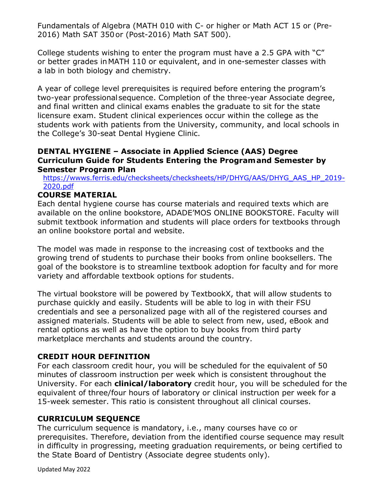Fundamentals of Algebra (MATH 010 with C- or higher or Math ACT 15 or (Pre-2016) Math SAT 350or (Post-2016) Math SAT 500).

College students wishing to enter the program must have a 2.5 GPA with "C" or better grades inMATH 110 or equivalent, and in one-semester classes with a lab in both biology and chemistry.

A year of college level prerequisites is required before entering the program's two-year professionalsequence. Completion of the three-year Associate degree, and final written and clinical exams enables the graduate to sit for the state licensure exam. Student clinical experiences occur within the college as the students work with patients from the University, community, and local schools in the College's 30-seat Dental Hygiene Clinic.

#### <span id="page-18-0"></span>**DENTAL HYGIENE – Associate in Applied Science (AAS) Degree Curriculum Guide for Students Entering the Programand Semester by Semester Program Plan**

[https://wwws.ferris.edu/checksheets/checksheets/HP/DHYG/AAS/DHYG\\_AAS\\_HP\\_2019-](https://wwws.ferris.edu/checksheets/checksheets/HP/DHYG/AAS/DHYG_AAS_HP_2019-2020.pdf) [2020.pdf](https://wwws.ferris.edu/checksheets/checksheets/HP/DHYG/AAS/DHYG_AAS_HP_2019-2020.pdf)

#### <span id="page-18-1"></span>**COURSE MATERIAL**

Each dental hygiene course has course materials and required texts which are available on the online bookstore, ADADE'MOS ONLINE BOOKSTORE. Faculty will submit textbook information and students will place orders for textbooks through an online bookstore portal and website.

The model was made in response to the increasing cost of textbooks and the growing trend of students to purchase their books from online booksellers. The goal of the bookstore is to streamline textbook adoption for faculty and for more variety and affordable textbook options for students.

The virtual bookstore will be powered by TextbookX, that will allow students to purchase quickly and easily. Students will be able to log in with their FSU credentials and see a personalized page with all of the registered courses and assigned materials. Students will be able to select from new, used, eBook and rental options as well as have the option to buy books from third party marketplace merchants and students around the country.

### <span id="page-18-2"></span>**CREDIT HOUR DEFINITION**

For each classroom credit hour, you will be scheduled for the equivalent of 50 minutes of classroom instruction per week which is consistent throughout the University. For each **clinical/laboratory** credit hour, you will be scheduled for the equivalent of three/four hours of laboratory or clinical instruction per week for a 15-week semester. This ratio is consistent throughout all clinical courses.

#### <span id="page-18-3"></span>**CURRICULUM SEQUENCE**

The curriculum sequence is mandatory, i.e., many courses have co or prerequisites. Therefore, deviation from the identified course sequence may result in difficulty in progressing, meeting graduation requirements, or being certified to the State Board of Dentistry (Associate degree students only).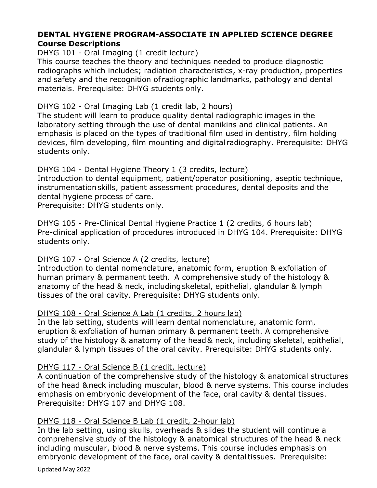#### <span id="page-19-1"></span><span id="page-19-0"></span>**DENTAL HYGIENE PROGRAM-ASSOCIATE IN APPLIED SCIENCE DEGREE Course Descriptions**

#### DHYG 101 - Oral Imaging (1 credit lecture)

This course teaches the theory and techniques needed to produce diagnostic radiographs which includes; radiation characteristics, x-ray production, properties and safety and the recognition of radiographic landmarks, pathology and dental materials. Prerequisite: DHYG students only.

#### DHYG 102 - Oral Imaging Lab (1 credit lab, 2 hours)

The student will learn to produce quality dental radiographic images in the laboratory setting through the use of dental manikins and clinical patients. An emphasis is placed on the types of traditional film used in dentistry, film holding devices, film developing, film mounting and digital radiography. Prerequisite: DHYG students only.

#### DHYG 104 - Dental Hygiene Theory 1 (3 credits, lecture)

Introduction to dental equipment, patient/operator positioning, aseptic technique, instrumentationskills, patient assessment procedures, dental deposits and the dental hygiene process of care.

Prerequisite: DHYG students only.

DHYG 105 - Pre-Clinical Dental Hygiene Practice 1 (2 credits, 6 hours lab) Pre-clinical application of procedures introduced in DHYG 104. Prerequisite: DHYG students only.

### DHYG 107 - Oral Science A (2 credits, lecture)

Introduction to dental nomenclature, anatomic form, eruption & exfoliation of human primary & permanent teeth. A comprehensive study of the histology & anatomy of the head & neck, includingskeletal, epithelial, glandular & lymph tissues of the oral cavity. Prerequisite: DHYG students only.

#### DHYG 108 - Oral Science A Lab (1 credits, 2 hours lab)

In the lab setting, students will learn dental nomenclature, anatomic form, eruption & exfoliation of human primary & permanent teeth. A comprehensive study of the histology & anatomy of the head & neck, including skeletal, epithelial, glandular & lymph tissues of the oral cavity. Prerequisite: DHYG students only.

### DHYG 117 - Oral Science B (1 credit, lecture)

A continuation of the comprehensive study of the histology & anatomical structures of the head &neck including muscular, blood & nerve systems. This course includes emphasis on embryonic development of the face, oral cavity & dental tissues. Prerequisite: DHYG 107 and DHYG 108.

### DHYG 118 - Oral Science B Lab (1 credit, 2-hour lab)

In the lab setting, using skulls, overheads & slides the student will continue a comprehensive study of the histology & anatomical structures of the head & neck including muscular, blood & nerve systems. This course includes emphasis on embryonic development of the face, oral cavity & dentaltissues. Prerequisite: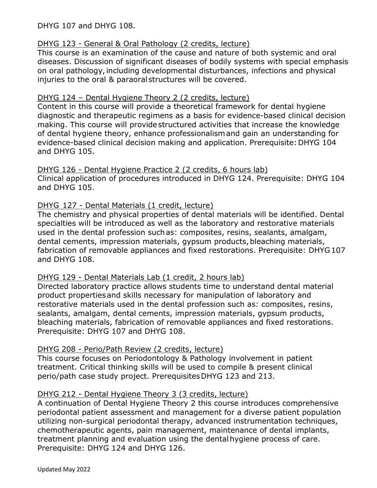#### DHYG 107 and DHYG 108.

#### DHYG 123 - General & Oral Pathology (2 credits, lecture)

This course is an examination of the cause and nature of both systemic and oral diseases. Discussion of significant diseases of bodily systems with special emphasis on oral pathology,including developmental disturbances, infections and physical injuries to the oral & paraoralstructures will be covered.

#### DHYG 124 – Dental Hygiene Theory 2 (2 credits, lecture)

Content in this course will provide a theoretical framework for dental hygiene diagnostic and therapeutic regimens as a basis for evidence-based clinical decision making. This course will providestructured activities that increase the knowledge of dental hygiene theory, enhance professionalismand gain an understanding for evidence-based clinical decision making and application. Prerequisite: DHYG 104 and DHYG 105.

DHYG 126 - Dental Hygiene Practice 2 (2 credits, 6 hours lab) Clinical application of procedures introduced in DHYG 124. Prerequisite: DHYG 104 and DHYG 105.

#### DHYG 127 - Dental Materials (1 credit, lecture)

The chemistry and physical properties of dental materials will be identified. Dental specialties will be introduced as well as the laboratory and restorative materials used in the dental profession suchas: composites, resins, sealants, amalgam, dental cements, impression materials, gypsum products,bleaching materials, fabrication of removable appliances and fixed restorations. Prerequisite: DHYG107 and DHYG 108.

#### DHYG 129 - Dental Materials Lab (1 credit, 2 hours lab)

Directed laboratory practice allows students time to understand dental material product propertiesand skills necessary for manipulation of laboratory and restorative materials used in the dental profession such as: composites, resins, sealants, amalgam, dental cements, impression materials, gypsum products, bleaching materials, fabrication of removable appliances and fixed restorations. Prerequisite: DHYG 107 and DHYG 108.

#### DHYG 208 - Perio/Path Review (2 credits, lecture)

This course focuses on Periodontology & Pathology involvement in patient treatment. Critical thinking skills will be used to compile & present clinical perio/path case study project. PrerequisitesDHYG 123 and 213.

#### DHYG 212 - Dental Hygiene Theory 3 (3 credits, lecture)

A continuation of Dental Hygiene Theory 2 this course introduces comprehensive periodontal patient assessment and management for a diverse patient population utilizing non-surgical periodontal therapy, advanced instrumentation techniques, chemotherapeutic agents, pain management, maintenance of dental implants, treatment planning and evaluation using the dentalhygiene process of care. Prerequisite: DHYG 124 and DHYG 126.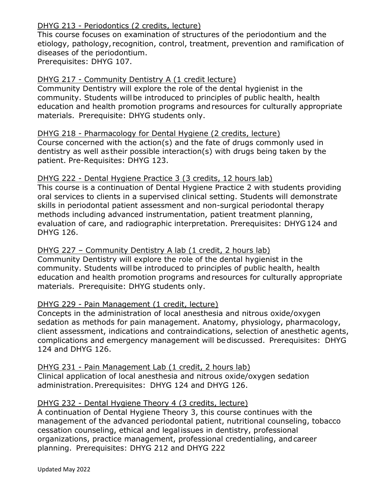### DHYG 213 - Periodontics (2 credits, lecture)

This course focuses on examination of structures of the periodontium and the etiology, pathology, recognition, control, treatment, prevention and ramification of diseases of the periodontium.

Prerequisites: DHYG 107.

### DHYG 217 - Community Dentistry A (1 credit lecture)

Community Dentistry will explore the role of the dental hygienist in the community. Students will be introduced to principles of public health, health education and health promotion programs andresources for culturally appropriate materials. Prerequisite: DHYG students only.

#### DHYG 218 - Pharmacology for Dental Hygiene (2 credits, lecture) Course concerned with the action(s) and the fate of drugs commonly used in dentistry as well as their possible interaction(s) with drugs being taken by the patient. Pre-Requisites: DHYG 123.

#### DHYG 222 - Dental Hygiene Practice 3 (3 credits, 12 hours lab)

This course is a continuation of Dental Hygiene Practice 2 with students providing oral services to clients in a supervised clinical setting. Students will demonstrate skills in periodontal patient assessment and non-surgical periodontal therapy methods including advanced instrumentation, patient treatment planning, evaluation of care, and radiographic interpretation. Prerequisites: DHYG124 and DHYG 126.

DHYG 227 – Community Dentistry A lab (1 credit, 2 hours lab) Community Dentistry will explore the role of the dental hygienist in the community. Students willbe introduced to principles of public health, health education and health promotion programs andresources for culturally appropriate materials. Prerequisite: DHYG students only.

#### DHYG 229 - Pain Management (1 credit, lecture)

Concepts in the administration of local anesthesia and nitrous oxide/oxygen sedation as methods for pain management. Anatomy, physiology, pharmacology, client assessment, indications and contraindications, selection of anesthetic agents, complications and emergency management will bediscussed. Prerequisites: DHYG 124 and DHYG 126.

DHYG 231 - Pain Management Lab (1 credit, 2 hours lab)

Clinical application of local anesthesia and nitrous oxide/oxygen sedation administration.Prerequisites: DHYG 124 and DHYG 126.

### DHYG 232 - Dental Hygiene Theory 4 (3 credits, lecture)

A continuation of Dental Hygiene Theory 3, this course continues with the management of the advanced periodontal patient, nutritional counseling, tobacco cessation counseling, ethical and legalissues in dentistry, professional organizations, practice management, professional credentialing, andcareer planning. Prerequisites: DHYG 212 and DHYG 222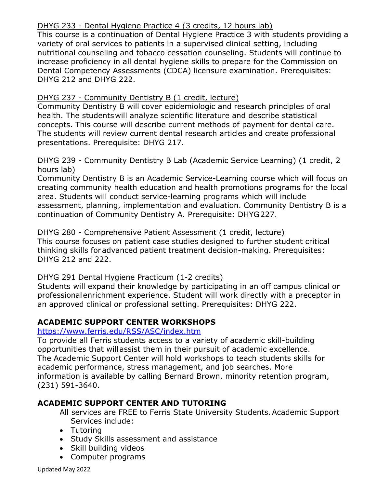### DHYG 233 - Dental Hygiene Practice 4 (3 credits, 12 hours lab)

This course is a continuation of Dental Hygiene Practice 3 with students providing a variety of oral services to patients in a supervised clinical setting, including nutritional counseling and tobacco cessation counseling. Students will continue to increase proficiency in all dental hygiene skills to prepare for the Commission on Dental Competency Assessments (CDCA) licensure examination. Prerequisites: DHYG 212 and DHYG 222.

### DHYG 237 - Community Dentistry B (1 credit, lecture)

Community Dentistry B will cover epidemiologic and research principles of oral health. The studentswill analyze scientific literature and describe statistical concepts. This course will describe current methods of payment for dental care. The students will review current dental research articles and create professional presentations. Prerequisite: DHYG 217.

#### DHYG 239 - Community Dentistry B Lab (Academic Service Learning) (1 credit, 2 hours lab)

Community Dentistry B is an Academic Service-Learning course which will focus on creating community health education and health promotions programs for the local area. Students will conduct service-learning programs which will include assessment, planning, implementation and evaluation. Community Dentistry B is a continuation of Community Dentistry A. Prerequisite: DHYG227.

DHYG 280 - Comprehensive Patient Assessment (1 credit, lecture) This course focuses on patient case studies designed to further student critical thinking skills foradvanced patient treatment decision-making. Prerequisites: DHYG 212 and 222.

### DHYG 291 Dental Hygiene Practicum (1-2 credits)

Students will expand their knowledge by participating in an off campus clinical or professionalenrichment experience. Student will work directly with a preceptor in an approved clinical or professional setting. Prerequisites: DHYG 222.

### <span id="page-22-0"></span>**ACADEMIC SUPPORT CENTER WORKSHOPS**

#### <https://www.ferris.edu/RSS/ASC/index.htm>

To provide all Ferris students access to a variety of academic skill-building opportunities that willassist them in their pursuit of academic excellence. The Academic Support Center will hold workshops to teach students skills for academic performance, stress management, and job searches. More information is available by calling Bernard Brown, minority retention program, (231) 591-3640.

### <span id="page-22-1"></span>**ACADEMIC SUPPORT CENTER AND TUTORING**

All services are FREE to Ferris State University Students.Academic Support Services include:

- Tutoring
- Study Skills assessment and assistance
- Skill building videos
- Computer programs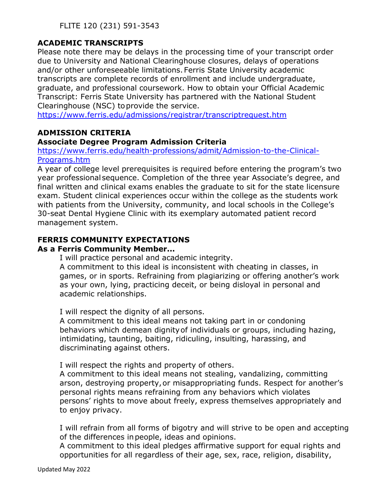FLITE 120 (231) 591-3543

### <span id="page-23-0"></span>**ACADEMIC TRANSCRIPTS**

Please note there may be delays in the processing time of your transcript order due to University and National Clearinghouse closures, delays of operations and/or other unforeseeable limitations. Ferris State University academic transcripts are complete records of enrollment and include undergraduate, graduate, and professional coursework. How to obtain your Official Academic Transcript: Ferris State University has partnered with the National Student Clearinghouse (NSC) toprovide the service.

[https://www.ferris.edu/admissions/registrar/transcriptrequest.htm](http://ousearch.omniupdate.com/texis/search/redir.html?query=official%2Btranscripts&pr=ferris&prox=page&rorder=500&rprox=750&rdfreq=500&rwfreq=750&rlead=750&rdepth=31&sufs=1&order=r&u=https%3A//www.ferris.edu/admissions/registrar/transcriptrequest.htm)

### <span id="page-23-1"></span>**ADMISSION CRITERIA**

### **Associate Degree Program Admission Criteria**

[https://www.ferris.edu/health-professions/admit/Admission-to-the-Clinical-](https://www.ferris.edu/health-professions/admit/Admission-to-the-Clinical-Programs.htm)[Programs.htm](https://www.ferris.edu/health-professions/admit/Admission-to-the-Clinical-Programs.htm)

A year of college level prerequisites is required before entering the program's two year professional sequence. Completion of the three year Associate's degree, and final written and clinical exams enables the graduate to sit for the state licensure exam. Student clinical experiences occur within the college as the students work with patients from the University, community, and local schools in the College's 30-seat Dental Hygiene Clinic with its exemplary automated patient record management system.

### <span id="page-23-2"></span>**FERRIS COMMUNITY EXPECTATIONS**

#### **As a Ferris Community Member...**

I will practice personal and academic integrity.

A commitment to this ideal is inconsistent with cheating in classes, in games, or in sports. Refraining from plagiarizing or offering another's work as your own, lying, practicing deceit, or being disloyal in personal and academic relationships.

I will respect the dignity of all persons.

A commitment to this ideal means not taking part in or condoning behaviors which demean dignityof individuals or groups, including hazing, intimidating, taunting, baiting, ridiculing, insulting, harassing, and discriminating against others.

I will respect the rights and property of others.

A commitment to this ideal means not stealing, vandalizing, committing arson, destroying property,or misappropriating funds. Respect for another's personal rights means refraining from any behaviors which violates persons' rights to move about freely, express themselves appropriately and to enjoy privacy.

I will refrain from all forms of bigotry and will strive to be open and accepting of the differences inpeople, ideas and opinions.

A commitment to this ideal pledges affirmative support for equal rights and opportunities for all regardless of their age, sex, race, religion, disability,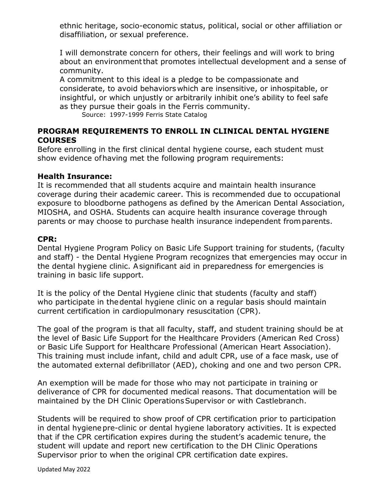ethnic heritage, socio-economic status, political, social or other affiliation or disaffiliation, or sexual preference.

I will demonstrate concern for others, their feelings and will work to bring about an environmentthat promotes intellectual development and a sense of community.

A commitment to this ideal is a pledge to be compassionate and considerate, to avoid behaviorswhich are insensitive, or inhospitable, or insightful, or which unjustly or arbitrarily inhibit one's ability to feel safe as they pursue their goals in the Ferris community.

Source: 1997-1999 Ferris State Catalog

### <span id="page-24-0"></span>**PROGRAM REQUIREMENTS TO ENROLL IN CLINICAL DENTAL HYGIENE COURSES**

Before enrolling in the first clinical dental hygiene course, each student must show evidence ofhaving met the following program requirements:

#### **Health Insurance:**

It is recommended that all students acquire and maintain health insurance coverage during their academic career. This is recommended due to occupational exposure to bloodborne pathogens as defined by the American Dental Association, MIOSHA, and OSHA. Students can acquire health insurance coverage through parents or may choose to purchase health insurance independent fromparents.

#### **CPR:**

Dental Hygiene Program Policy on Basic Life Support training for students, (faculty and staff) - the Dental Hygiene Program recognizes that emergencies may occur in the dental hygiene clinic. Asignificant aid in preparedness for emergencies is training in basic life support.

It is the policy of the Dental Hygiene clinic that students (faculty and staff) who participate in thedental hygiene clinic on a regular basis should maintain current certification in cardiopulmonary resuscitation (CPR).

The goal of the program is that all faculty, staff, and student training should be at the level of Basic Life Support for the Healthcare Providers (American Red Cross) or Basic Life Support for Healthcare Professional (American Heart Association). This training must include infant, child and adult CPR, use of a face mask, use of the automated external defibrillator (AED), choking and one and two person CPR.

An exemption will be made for those who may not participate in training or deliverance of CPR for documented medical reasons. That documentation will be maintained by the DH Clinic OperationsSupervisor or with Castlebranch.

Students will be required to show proof of CPR certification prior to participation in dental hygiene pre-clinic or dental hygiene laboratory activities. It is expected that if the CPR certification expires during the student's academic tenure, the student will update and report new certification to the DH Clinic Operations Supervisor prior to when the original CPR certification date expires.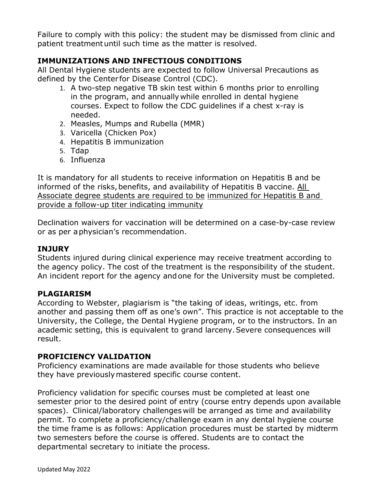Failure to comply with this policy: the student may be dismissed from clinic and patient treatmentuntil such time as the matter is resolved.

### <span id="page-25-0"></span>**IMMUNIZATIONS AND INFECTIOUS CONDITIONS**

All Dental Hygiene students are expected to follow Universal Precautions as defined by the Center for Disease Control (CDC).

- 1. A two-step negative TB skin test within 6 months prior to enrolling in the program, and annually while enrolled in dental hygiene courses. Expect to follow the CDC guidelines if a chest x-ray is needed.
- 2. Measles, Mumps and Rubella (MMR)
- 3. Varicella (Chicken Pox)
- 4. Hepatitis B immunization
- 5. Tdap
- 6. Influenza

It is mandatory for all students to receive information on Hepatitis B and be informed of the risks, benefits, and availability of Hepatitis B vaccine. All Associate degree students are required to be immunized for Hepatitis B and provide a follow-up titer indicating immunity

Declination waivers for vaccination will be determined on a case-by-case review or as per aphysician's recommendation.

#### <span id="page-25-1"></span>**INJURY**

Students injured during clinical experience may receive treatment according to the agency policy. The cost of the treatment is the responsibility of the student. An incident report for the agency andone for the University must be completed.

### <span id="page-25-2"></span>**PLAGIARISM**

According to Webster, plagiarism is "the taking of ideas, writings, etc. from another and passing them off as one's own". This practice is not acceptable to the University, the College, the Dental Hygiene program, or to the instructors. In an academic setting, this is equivalent to grand larceny.Severe consequences will result.

### <span id="page-25-3"></span>**PROFICIENCY VALIDATION**

Proficiency examinations are made available for those students who believe they have previouslymastered specific course content.

Proficiency validation for specific courses must be completed at least one semester prior to the desired point of entry (course entry depends upon available spaces). Clinical/laboratory challenges will be arranged as time and availability permit. To complete a proficiency/challenge exam in any dental hygiene course the time frame is as follows: Application procedures must be started by midterm two semesters before the course is offered. Students are to contact the departmental secretary to initiate the process.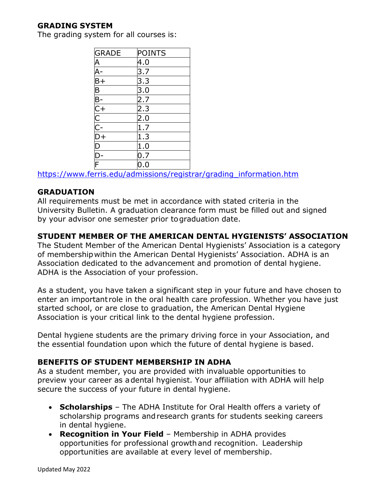### <span id="page-26-0"></span>**GRADING SYSTEM**

The grading system for all courses is:

| <b>GRADE</b>                          | <b>POINTS</b>     |
|---------------------------------------|-------------------|
| $\overline{\mathsf{A}}$               | $\overline{4.0}$  |
| $\overline{\mathsf{A}}$               | $\overline{3.7}$  |
| $\frac{\overline{B+}}{\overline{B-}}$ | $\overline{3.3}$  |
|                                       | $\overline{3.0}$  |
| $\overline{B}$                        | $\frac{2.7}{2.3}$ |
|                                       |                   |
|                                       | $\overline{2.0}$  |
| $\frac{\overline{C+}}{\overline{C-}}$ | $\overline{1.7}$  |
|                                       | 1.3               |
| $\overline{\mathsf{D}}$               | 1.0               |
| $\Box$                                | 0.7               |
|                                       | 0.0               |

[https://www.ferris.edu/admissions/registrar/grading\\_information.htm](https://www.ferris.edu/admissions/registrar/grading_information.htm)

#### <span id="page-26-1"></span>**GRADUATION**

All requirements must be met in accordance with stated criteria in the University Bulletin. A graduation clearance form must be filled out and signed by your advisor one semester prior tograduation date.

#### <span id="page-26-2"></span>**STUDENT MEMBER OF THE AMERICAN DENTAL HYGIENISTS' ASSOCIATION**

The Student Member of the American Dental Hygienists' Association is a category of membershipwithin the American Dental Hygienists' Association. ADHA is an Association dedicated to the advancement and promotion of dental hygiene. ADHA is the Association of your profession.

As a student, you have taken a significant step in your future and have chosen to enter an important role in the oral health care profession. Whether you have just started school, or are close to graduation, the American Dental Hygiene Association is your critical link to the dental hygiene profession.

Dental hygiene students are the primary driving force in your Association, and the essential foundation upon which the future of dental hygiene is based.

#### <span id="page-26-3"></span>**BENEFITS OF STUDENT MEMBERSHIP IN ADHA**

As a student member, you are provided with invaluable opportunities to preview your career as adental hygienist. Your affiliation with ADHA will help secure the success of your future in dental hygiene.

- **Scholarships** The ADHA Institute for Oral Health offers a variety of scholarship programs andresearch grants for students seeking careers in dental hygiene.
- **Recognition in Your Field** Membership in ADHA provides opportunities for professional growthand recognition. Leadership opportunities are available at every level of membership.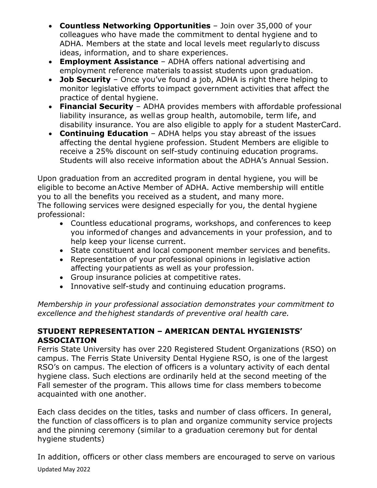- **Countless Networking Opportunities** Join over 35,000 of your colleagues who have made the commitment to dental hygiene and to ADHA. Members at the state and local levels meet regularlyto discuss ideas, information, and to share experiences.
- **Employment Assistance** ADHA offers national advertising and employment reference materials toassist students upon graduation.
- **Job Security** Once you've found a job, ADHA is right there helping to monitor legislative efforts toimpact government activities that affect the practice of dental hygiene.
- **Financial Security** ADHA provides members with affordable professional liability insurance, as wellas group health, automobile, term life, and disability insurance. You are also eligible to apply for a student MasterCard.
- **Continuing Education** ADHA helps you stay abreast of the issues affecting the dental hygiene profession. Student Members are eligible to receive a 25% discount on self-study continuing education programs. Students will also receive information about the ADHA's Annual Session.

Upon graduation from an accredited program in dental hygiene, you will be eligible to become anActive Member of ADHA. Active membership will entitle you to all the benefits you received as a student, and many more.

The following services were designed especially for you, the dental hygiene professional:

- Countless educational programs, workshops, and conferences to keep you informedof changes and advancements in your profession, and to help keep your license current.
- State constituent and local component member services and benefits.
- Representation of your professional opinions in legislative action affecting yourpatients as well as your profession.
- Group insurance policies at competitive rates.
- Innovative self-study and continuing education programs.

*Membership in your professional association demonstrates your commitment to excellence and thehighest standards of preventive oral health care.*

### <span id="page-27-0"></span>**STUDENT REPRESENTATION – AMERICAN DENTAL HYGIENISTS' ASSOCIATION**

Ferris State University has over 220 Registered Student Organizations (RSO) on campus. The Ferris State University Dental Hygiene RSO, is one of the largest RSO's on campus. The election of officers is a voluntary activity of each dental hygiene class. Such elections are ordinarily held at the second meeting of the Fall semester of the program. This allows time for class members tobecome acquainted with one another.

Each class decides on the titles, tasks and number of class officers. In general, the function of classofficers is to plan and organize community service projects and the pinning ceremony (similar to a graduation ceremony but for dental hygiene students)

In addition, officers or other class members are encouraged to serve on various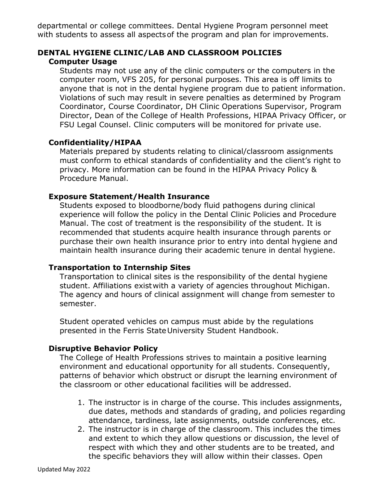departmental or college committees. Dental Hygiene Program personnel meet with students to assess all aspectsof the program and plan for improvements.

#### <span id="page-28-1"></span><span id="page-28-0"></span>**DENTAL HYGIENE CLINIC/LAB AND CLASSROOM POLICIES Computer Usage**

Students may not use any of the clinic computers or the computers in the computer room, VFS 205, for personal purposes. This area is off limits to anyone that is not in the dental hygiene program due to patient information. Violations of such may result in severe penalties as determined by Program Coordinator, Course Coordinator, DH Clinic Operations Supervisor, Program Director, Dean of the College of Health Professions, HIPAA Privacy Officer, or FSU Legal Counsel. Clinic computers will be monitored for private use.

#### <span id="page-28-2"></span>**Confidentiality/HIPAA**

Materials prepared by students relating to clinical/classroom assignments must conform to ethical standards of confidentiality and the client's right to privacy. More information can be found in the HIPAA Privacy Policy & Procedure Manual.

#### <span id="page-28-3"></span>**Exposure Statement/Health Insurance**

Students exposed to bloodborne/body fluid pathogens during clinical experience will follow the policy in the Dental Clinic Policies and Procedure Manual. The cost of treatment is the responsibility of the student. It is recommended that students acquire health insurance through parents or purchase their own health insurance prior to entry into dental hygiene and maintain health insurance during their academic tenure in dental hygiene.

### <span id="page-28-4"></span>**Transportation to Internship Sites**

Transportation to clinical sites is the responsibility of the dental hygiene student. Affiliations existwith a variety of agencies throughout Michigan. The agency and hours of clinical assignment will change from semester to semester.

Student operated vehicles on campus must abide by the regulations presented in the Ferris StateUniversity Student Handbook.

### <span id="page-28-5"></span>**Disruptive Behavior Policy**

The College of Health Professions strives to maintain a positive learning environment and educational opportunity for all students. Consequently, patterns of behavior which obstruct or disrupt the learning environment of the classroom or other educational facilities will be addressed.

- 1. The instructor is in charge of the course. This includes assignments, due dates, methods and standards of grading, and policies regarding attendance, tardiness, late assignments, outside conferences, etc.
- 2. The instructor is in charge of the classroom. This includes the times and extent to which they allow questions or discussion, the level of respect with which they and other students are to be treated, and the specific behaviors they will allow within their classes. Open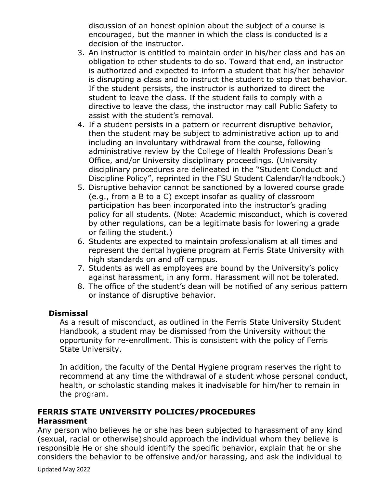discussion of an honest opinion about the subject of a course is encouraged, but the manner in which the class is conducted is a decision of the instructor.

- 3. An instructor is entitled to maintain order in his/her class and has an obligation to other students to do so. Toward that end, an instructor is authorized and expected to inform a student that his/her behavior is disrupting a class and to instruct the student to stop that behavior. If the student persists, the instructor is authorized to direct the student to leave the class. If the student fails to comply with a directive to leave the class, the instructor may call Public Safety to assist with the student's removal.
- 4. If a student persists in a pattern or recurrent disruptive behavior, then the student may be subject to administrative action up to and including an involuntary withdrawal from the course, following administrative review by the College of Health Professions Dean's Office, and/or University disciplinary proceedings. (University disciplinary procedures are delineated in the "Student Conduct and Discipline Policy", reprinted in the FSU Student Calendar/Handbook.)
- 5. Disruptive behavior cannot be sanctioned by a lowered course grade (e.g., from a B to a C) except insofar as quality of classroom participation has been incorporated into the instructor's grading policy for all students. (Note: Academic misconduct, which is covered by other regulations, can be a legitimate basis for lowering a grade or failing the student.)
- 6. Students are expected to maintain professionalism at all times and represent the dental hygiene program at Ferris State University with high standards on and off campus.
- 7. Students as well as employees are bound by the University's policy against harassment, in any form. Harassment will not be tolerated.
- 8. The office of the student's dean will be notified of any serious pattern or instance of disruptive behavior.

#### <span id="page-29-0"></span>**Dismissal**

As a result of misconduct, as outlined in the Ferris State University Student Handbook, a student may be dismissed from the University without the opportunity for re-enrollment. This is consistent with the policy of Ferris State University.

In addition, the faculty of the Dental Hygiene program reserves the right to recommend at any time the withdrawal of a student whose personal conduct, health, or scholastic standing makes it inadvisable for him/her to remain in the program.

# <span id="page-29-1"></span>**FERRIS STATE UNIVERSITY POLICIES/PROCEDURES**

#### <span id="page-29-2"></span>**Harassment**

Any person who believes he or she has been subjected to harassment of any kind (sexual, racial or otherwise) should approach the individual whom they believe is responsible He or she should identify the specific behavior, explain that he or she considers the behavior to be offensive and/or harassing, and ask the individual to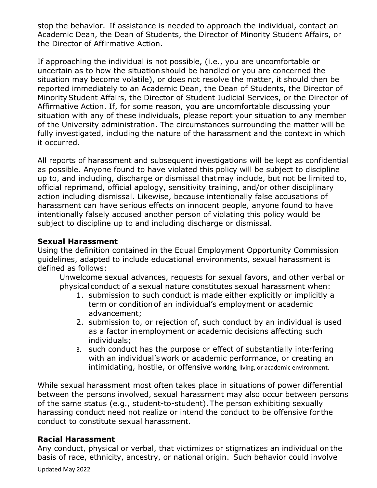stop the behavior. If assistance is needed to approach the individual, contact an Academic Dean, the Dean of Students, the Director of Minority Student Affairs, or the Director of Affirmative Action.

If approaching the individual is not possible, (i.e., you are uncomfortable or uncertain as to how the situationshould be handled or you are concerned the situation may become volatile), or does not resolve the matter, it should then be reported immediately to an Academic Dean, the Dean of Students, the Director of MinorityStudent Affairs, the Director of Student Judicial Services, or the Director of Affirmative Action. If, for some reason, you are uncomfortable discussing your situation with any of these individuals, please report your situation to any member of the University administration. The circumstances surrounding the matter will be fully investigated, including the nature of the harassment and the context in which it occurred.

All reports of harassment and subsequent investigations will be kept as confidential as possible. Anyone found to have violated this policy will be subject to discipline up to, and including, discharge or dismissal thatmay include, but not be limited to, official reprimand, official apology, sensitivity training, and/or other disciplinary action including dismissal. Likewise, because intentionally false accusations of harassment can have serious effects on innocent people, anyone found to have intentionally falsely accused another person of violating this policy would be subject to discipline up to and including discharge or dismissal.

### <span id="page-30-0"></span>**Sexual Harassment**

Using the definition contained in the Equal Employment Opportunity Commission guidelines, adapted to include educational environments, sexual harassment is defined as follows:

Unwelcome sexual advances, requests for sexual favors, and other verbal or physical conduct of a sexual nature constitutes sexual harassment when:

- 1. submission to such conduct is made either explicitly or implicitly a term or conditionof an individual's employment or academic advancement;
- 2. submission to, or rejection of, such conduct by an individual is used as a factor inemployment or academic decisions affecting such individuals;
- 3. such conduct has the purpose or effect of substantially interfering with an individual's work or academic performance, or creating an intimidating, hostile, or offensive working, living, or academic environment.

While sexual harassment most often takes place in situations of power differential between the persons involved, sexual harassment may also occur between persons of the same status (e.g., student-to-student). The person exhibiting sexually harassing conduct need not realize or intend the conduct to be offensive for the conduct to constitute sexual harassment.

### <span id="page-30-1"></span>**Racial Harassment**

Any conduct, physical or verbal, that victimizes or stigmatizes an individual onthe basis of race, ethnicity, ancestry, or national origin. Such behavior could involve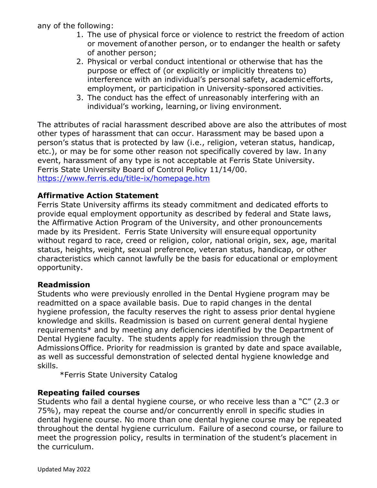any of the following:

- 1. The use of physical force or violence to restrict the freedom of action or movement ofanother person, or to endanger the health or safety of another person;
- 2. Physical or verbal conduct intentional or otherwise that has the purpose or effect of (or explicitly or implicitly threatens to) interference with an individual's personal safety, academic efforts, employment, or participation in University-sponsored activities.
- 3. The conduct has the effect of unreasonably interfering with an individual's working, learning,or living environment.

The attributes of racial harassment described above are also the attributes of most other types of harassment that can occur. Harassment may be based upon a person's status that is protected by law (i.e., religion, veteran status, handicap, etc.), or may be for some other reason not specifically covered by law. Inany event, harassment of any type is not acceptable at Ferris State University. Ferris State University Board of Control Policy 11/14/00. [https://www.ferris.edu/title-ix/homepage.htm](http://ousearch.omniupdate.com/texis/search/redir.html?query=title%2BIX&pr=ferris&prox=page&rorder=500&rprox=750&rdfreq=500&rwfreq=750&rlead=750&rdepth=31&sufs=1&order=r&u=https%3A//www.ferris.edu/title-ix/homepage.htm)

#### <span id="page-31-0"></span>**Affirmative Action Statement**

Ferris State University affirms its steady commitment and dedicated efforts to provide equal employment opportunity as described by federal and State laws, the Affirmative Action Program of the University, and other pronouncements made by its President. Ferris State University will ensureequal opportunity without regard to race, creed or religion, color, national origin, sex, age, marital status, heights, weight, sexual preference, veteran status, handicap, or other characteristics which cannot lawfully be the basis for educational or employment opportunity.

#### <span id="page-31-1"></span>**Readmission**

Students who were previously enrolled in the Dental Hygiene program may be readmitted on a space available basis. Due to rapid changes in the dental hygiene profession, the faculty reserves the right to assess prior dental hygiene knowledge and skills. Readmission is based on current general dental hygiene requirements\* and by meeting any deficiencies identified by the Department of Dental Hygiene faculty. The students apply for readmission through the AdmissionsOffice. Priority for readmission is granted by date and space available, as well as successful demonstration of selected dental hygiene knowledge and skills.

\*Ferris State University Catalog

### <span id="page-31-2"></span>**Repeating failed courses**

Students who fail a dental hygiene course, or who receive less than a "C" (2.3 or 75%), may repeat the course and/or concurrently enroll in specific studies in dental hygiene course. No more than one dental hygiene course may be repeated throughout the dental hygiene curriculum. Failure of a second course, or failure to meet the progression policy, results in termination of the student's placement in the curriculum.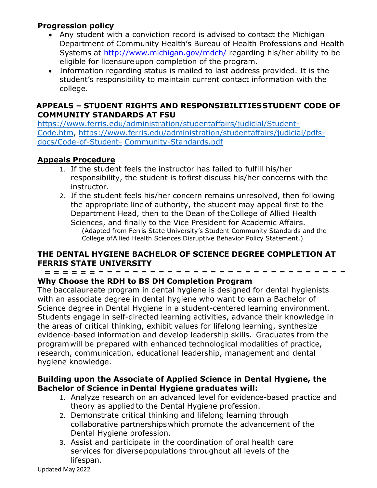### <span id="page-32-0"></span>**Progression policy**

- Any student with a conviction record is advised to contact the Michigan Department of Community Health's Bureau of Health Professions and Health Systems at <http://www.michigan.gov/mdch/> regarding his/her ability to be eligible for licensureupon completion of the program.
- Information regarding status is mailed to last address provided. It is the student's responsibility to maintain current contact information with the college.

#### <span id="page-32-1"></span>**APPEALS – STUDENT RIGHTS AND RESPONSIBILITIESSTUDENT CODE OF COMMUNITY STANDARDS AT FSU**

[https://www.ferris.edu/administration/studentaffairs/judicial/Student-](https://www.ferris.edu/administration/studentaffairs/judicial/Student-Code.htm)[Code.htm,](https://www.ferris.edu/administration/studentaffairs/judicial/Student-Code.htm) [https://www.ferris.edu/administration/studentaffairs/judicial/pdfs](https://www.ferris.edu/administration/studentaffairs/judicial/pdfs-docs/Code-of-Student-Community-Standards.pdf)[docs/Code-of-Student-](https://www.ferris.edu/administration/studentaffairs/judicial/pdfs-docs/Code-of-Student-Community-Standards.pdf) [Community-Standards.pdf](https://www.ferris.edu/administration/studentaffairs/judicial/pdfs-docs/Code-of-Student-Community-Standards.pdf)

### <span id="page-32-2"></span>**Appeals Procedure**

- 1. If the student feels the instructor has failed to fulfill his/her responsibility, the student is tofirst discuss his/her concerns with the instructor.
- 2. If the student feels his/her concern remains unresolved, then following the appropriate lineof authority, the student may appeal first to the Department Head, then to the Dean of theCollege of Allied Health Sciences, and finally to the Vice President for Academic Affairs. (Adapted from Ferris State University's Student Community Standards and the College ofAllied Health Sciences Disruptive Behavior Policy Statement.)

#### <span id="page-32-3"></span>**THE DENTAL HYGIENE BACHELOR OF SCIENCE DEGREE COMPLETION AT FERRIS STATE UNIVERSITY**

#### <span id="page-32-4"></span>**= = = = = =** = = = = = = = = = = = = = = = = = = = = = = = = = = = = = **Why Choose the RDH to BS DH Completion Program**

The baccalaureate program in dental hygiene is designed for dental hygienists with an associate degree in dental hygiene who want to earn a Bachelor of Science degree in Dental Hygiene in a student-centered learning environment. Students engage in self-directed learning activities, advance their knowledge in the areas of critical thinking, exhibit values for lifelong learning, synthesize evidence-based information and develop leadership skills. Graduates from the programwill be prepared with enhanced technological modalities of practice, research, communication, educational leadership, management and dental hygiene knowledge.

#### <span id="page-32-5"></span>**Building upon the Associate of Applied Science in Dental Hygiene, the Bachelor of Science inDental Hygiene graduates will:**

- 1. Analyze research on an advanced level for evidence-based practice and theory as appliedto the Dental Hygiene profession.
- 2. Demonstrate critical thinking and lifelong learning through collaborative partnershipswhich promote the advancement of the Dental Hygiene profession.
- 3. Assist and participate in the coordination of oral health care services for diverse populations throughout all levels of the lifespan.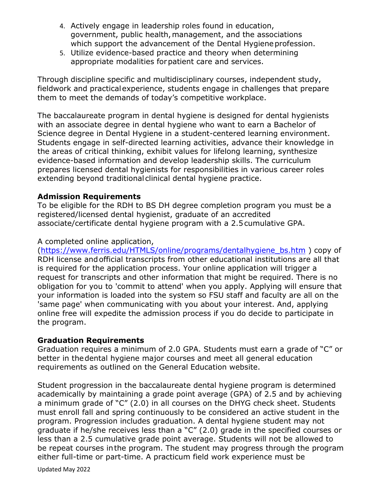- 4. Actively engage in leadership roles found in education, government, public health,management, and the associations which support the advancement of the Dental Hygiene profession.
- 5. Utilize evidence-based practice and theory when determining appropriate modalities forpatient care and services.

Through discipline specific and multidisciplinary courses, independent study, fieldwork and practicalexperience, students engage in challenges that prepare them to meet the demands of today's competitive workplace.

The baccalaureate program in dental hygiene is designed for dental hygienists with an associate degree in dental hygiene who want to earn a Bachelor of Science degree in Dental Hygiene in a student-centered learning environment. Students engage in self-directed learning activities, advance their knowledge in the areas of critical thinking, exhibit values for lifelong learning, synthesize evidence-based information and develop leadership skills. The curriculum prepares licensed dental hygienists for responsibilities in various career roles extending beyond traditional clinical dental hygiene practice.

#### <span id="page-33-0"></span>**Admission Requirements**

To be eligible for the RDH to BS DH degree completion program you must be a registered/licensed dental hygienist, graduate of an accredited associate/certificate dental hygiene program with a 2.5cumulative GPA.

#### A completed online application,

[\(https://www.ferris.edu/HTMLS/online/programs/dentalhygiene\\_bs.htm](https://www.ferris.edu/HTMLS/online/programs/dentalhygiene_bs.htm) ) copy of RDH license andofficial transcripts from other educational institutions are all that is required for the application process. Your online application will trigger a request for transcripts and other information that might be required. There is no obligation for you to 'commit to attend' when you apply. Applying will ensure that your information is loaded into the system so FSU staff and faculty are all on the 'same page' when communicating with you about your interest. And, applying online free will expedite the admission process if you do decide to participate in the program.

#### <span id="page-33-1"></span>**Graduation Requirements**

Graduation requires a minimum of 2.0 GPA. Students must earn a grade of "C" or better in thedental hygiene major courses and meet all general education requirements as outlined on the General Education website.

Student progression in the baccalaureate dental hygiene program is determined academically by maintaining a grade point average (GPA) of 2.5 and by achieving a minimum grade of "C" (2.0) in all courses on the DHYG check sheet. Students must enroll fall and spring continuously to be considered an active student in the program. Progression includes graduation. A dental hygiene student may not graduate if he/she receives less than a "C" (2.0) grade in the specified courses or less than a 2.5 cumulative grade point average. Students will not be allowed to be repeat courses inthe program. The student may progress through the program either full-time or part-time. A practicum field work experience must be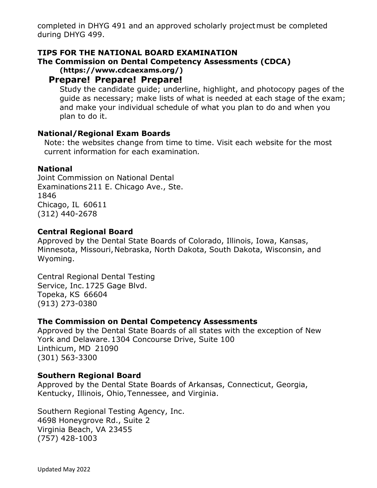completed in DHYG 491 and an approved scholarly projectmust be completed during DHYG 499.

#### <span id="page-34-0"></span>**TIPS FOR THE NATIONAL BOARD EXAMINATION**

#### <span id="page-34-1"></span>**The Commission on Dental Competency Assessments (CDCA) (https://www.cdcaexams.org/)**

#### **Prepare! Prepare! Prepare!**

Study the candidate guide; underline, highlight, and photocopy pages of the guide as necessary; make lists of what is needed at each stage of the exam; and make your individual schedule of what you plan to do and when you plan to do it.

#### <span id="page-34-2"></span>**National/Regional Exam Boards**

Note: the websites change from time to time. Visit each website for the most current information for each examination*.*

#### <span id="page-34-3"></span>**National**

Joint Commission on National Dental Examinations211 E. Chicago Ave., Ste. 1846 Chicago, IL 60611 (312) 440-2678

#### <span id="page-34-4"></span>**Central Regional Board**

Approved by the Dental State Boards of Colorado, Illinois, Iowa, Kansas, Minnesota, Missouri,Nebraska, North Dakota, South Dakota, Wisconsin, and Wyoming.

Central Regional Dental Testing Service, Inc. 1725 Gage Blvd. Topeka, KS 66604 (913) 273-0380

#### <span id="page-34-5"></span>**The Commission on Dental Competency Assessments**

Approved by the Dental State Boards of all states with the exception of New York and Delaware.1304 Concourse Drive, Suite 100 Linthicum, MD 21090 (301) 563-3300

#### <span id="page-34-6"></span>**Southern Regional Board**

Approved by the Dental State Boards of Arkansas, Connecticut, Georgia, Kentucky, Illinois, Ohio,Tennessee, and Virginia.

Southern Regional Testing Agency, Inc. 4698 Honeygrove Rd., Suite 2 Virginia Beach, VA 23455 (757) 428-1003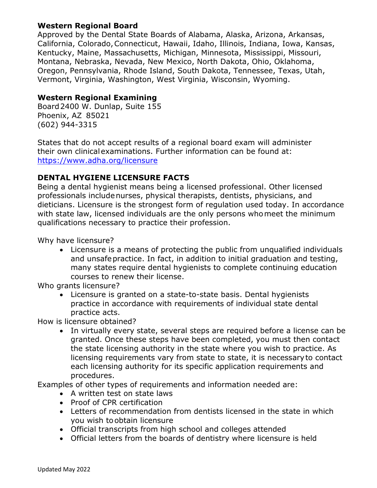#### <span id="page-35-0"></span>**Western Regional Board**

Approved by the Dental State Boards of Alabama, Alaska, Arizona, Arkansas, California, Colorado,Connecticut, Hawaii, Idaho, Illinois, Indiana, Iowa, Kansas, Kentucky, Maine, Massachusetts, Michigan, Minnesota, Mississippi, Missouri, Montana, Nebraska, Nevada, New Mexico, North Dakota, Ohio, Oklahoma, Oregon, Pennsylvania, Rhode Island, South Dakota, Tennessee, Texas, Utah, Vermont, Virginia, Washington, West Virginia, Wisconsin, Wyoming.

#### **Western Regional Examining**

Board2400 W. Dunlap, Suite 155 Phoenix, AZ 85021 (602) 944-3315

States that do not accept results of a regional board exam will administer their own clinical examinations. Further information can be found at: <https://www.adha.org/licensure>

### <span id="page-35-1"></span>**DENTAL HYGIENE LICENSURE FACTS**

Being a dental hygienist means being a licensed professional. Other licensed professionals includenurses, physical therapists, dentists, physicians, and dieticians. Licensure is the strongest form of regulation used today. In accordance with state law, licensed individuals are the only persons whomeet the minimum qualifications necessary to practice their profession.

Why have licensure?

• Licensure is a means of protecting the public from unqualified individuals and unsafepractice. In fact, in addition to initial graduation and testing, many states require dental hygienists to complete continuing education courses to renew their license.

Who grants licensure?

• Licensure is granted on a state-to-state basis. Dental hygienists practice in accordance with requirements of individual state dental practice acts.

How is licensure obtained?

• In virtually every state, several steps are required before a license can be granted. Once these steps have been completed, you must then contact the state licensing authority in the state where you wish to practice. As licensing requirements vary from state to state, it is necessaryto contact each licensing authority for its specific application requirements and procedures.

Examples of other types of requirements and information needed are:

- A written test on state laws
- Proof of CPR certification
- Letters of recommendation from dentists licensed in the state in which you wish toobtain licensure
- Official transcripts from high school and colleges attended
- Official letters from the boards of dentistry where licensure is held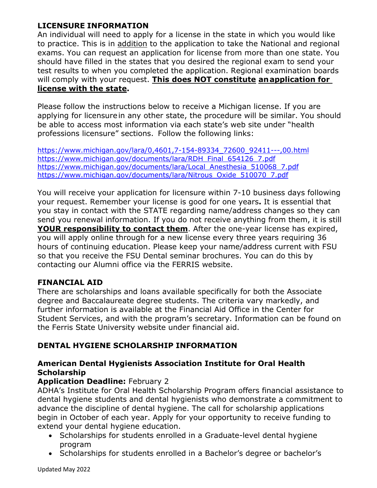### <span id="page-36-0"></span>**LICENSURE INFORMATION**

An individual will need to apply for a license in the state in which you would like to practice. This is in addition to the application to take the National and regional exams. You can request an application for license from more than one state. You should have filled in the states that you desired the regional exam to send your test results to when you completed the application. Regional examination boards will comply with your request. **This does NOT constitute an application for license with the state.** 

Please follow the instructions below to receive a Michigan license. If you are applying for licensurein any other state, the procedure will be similar. You should be able to access most information via each state's web site under "health professions licensure" sections. Follow the following links:

[https://www.michigan.gov/lara/0,4601,7-154-89334\\_72600\\_92411---,00.html](https://www.michigan.gov/lara/0,4601,7-154-89334_72600_92411---,00.html) [https://www.michigan.gov/documents/lara/RDH\\_Final\\_654126\\_7.pdf](https://www.michigan.gov/documents/lara/RDH_Final_654126_7.pdf) [https://www.michigan.gov/documents/lara/Local\\_Anesthesia\\_510068\\_7.pdf](https://www.michigan.gov/documents/lara/Local_Anesthesia_510068_7.pdf) [https://www.michigan.gov/documents/lara/Nitrous\\_Oxide\\_510070\\_7.pdf](https://www.michigan.gov/documents/lara/Nitrous_Oxide_510070_7.pdf)

You will receive your application for licensure within 7-10 business days following your request. Remember your license is good for one years**.** It is essential that you stay in contact with the STATE regarding name/address changes so they can send you renewal information. If you do not receive anything from them, it is still **YOUR responsibility to contact them**. After the one-year license has expired, you will apply online through for a new license every three years requiring 36 hours of continuing education. Please keep your name/address current with FSU so that you receive the FSU Dental seminar brochures. You can do this by contacting our Alumni office via the FERRIS website.

### <span id="page-36-1"></span>**FINANCIAL AID**

There are scholarships and loans available specifically for both the Associate degree and Baccalaureate degree students. The criteria vary markedly, and further information is available at the Financial Aid Office in the Center for Student Services, and with the program's secretary. Information can be found on the Ferris State University website under financial aid.

### <span id="page-36-2"></span>**DENTAL HYGIENE SCHOLARSHIP INFORMATION**

### <span id="page-36-3"></span>**American Dental Hygienists Association Institute for Oral Health Scholarship**

### **Application Deadline:** February 2

ADHA's Institute for Oral Health Scholarship Program offers financial assistance to dental hygiene students and dental hygienists who demonstrate a commitment to advance the discipline of dental hygiene. The call for scholarship applications begin in October of each year. Apply for your opportunity to receive funding to extend your dental hygiene education.

- Scholarships for students enrolled in a Graduate-level dental hygiene program
- Scholarships for students enrolled in a Bachelor's degree or bachelor's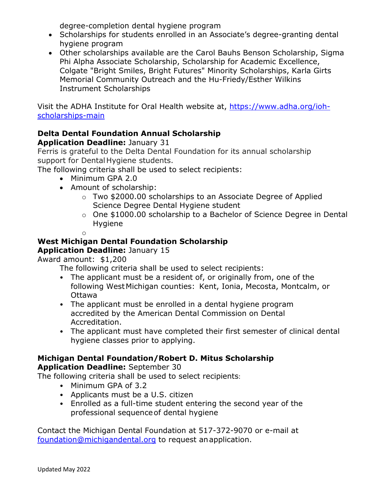degree-completion dental hygiene program

- Scholarships for students enrolled in an Associate's degree-granting dental hygiene program
- Other scholarships available are the Carol Bauhs Benson Scholarship, Sigma Phi Alpha Associate Scholarship, Scholarship for Academic Excellence, Colgate "Bright Smiles, Bright Futures" Minority Scholarships, Karla Girts Memorial Community Outreach and the Hu-Friedy/Esther Wilkins Instrument Scholarships

Visit the ADHA Institute for Oral Health website at, [https://www.adha.org/ioh](https://www.adha.org/ioh-scholarships-main)[scholarships-main](https://www.adha.org/ioh-scholarships-main)

# <span id="page-37-0"></span>**Delta Dental Foundation Annual Scholarship**

### **Application Deadline:** January 31

Ferris is grateful to the Delta Dental Foundation for its annual scholarship support for Dental Hygiene students.

The following criteria shall be used to select recipients:

- Minimum GPA 2.0
- Amount of scholarship:
	- o Two \$2000.00 scholarships to an Associate Degree of Applied Science Degree Dental Hygiene student
	- o One \$1000.00 scholarship to a Bachelor of Science Degree in Dental Hygiene

### o

# <span id="page-37-1"></span>**West Michigan Dental Foundation Scholarship**

### **Application Deadline:** January 15

Award amount: \$1,200

The following criteria shall be used to select recipients:

- The applicant must be a resident of, or originally from, one of the following WestMichigan counties: Kent, Ionia, Mecosta, Montcalm, or Ottawa
- The applicant must be enrolled in a dental hygiene program accredited by the American Dental Commission on Dental Accreditation.
- The applicant must have completed their first semester of clinical dental hygiene classes prior to applying.

# <span id="page-37-2"></span>**Michigan Dental Foundation/Robert D. Mitus Scholarship**

### **Application Deadline:** September 30

The following criteria shall be used to select recipients:

- Minimum GPA of 3.2
- Applicants must be a U.S. citizen
- Enrolled as a full-time student entering the second year of the professional sequenceof dental hygiene

Contact the Michigan Dental Foundation at 517-372-9070 or e-mail at [foundation@michigandental.org](mailto:foundation@michigandental.org) to request anapplication.